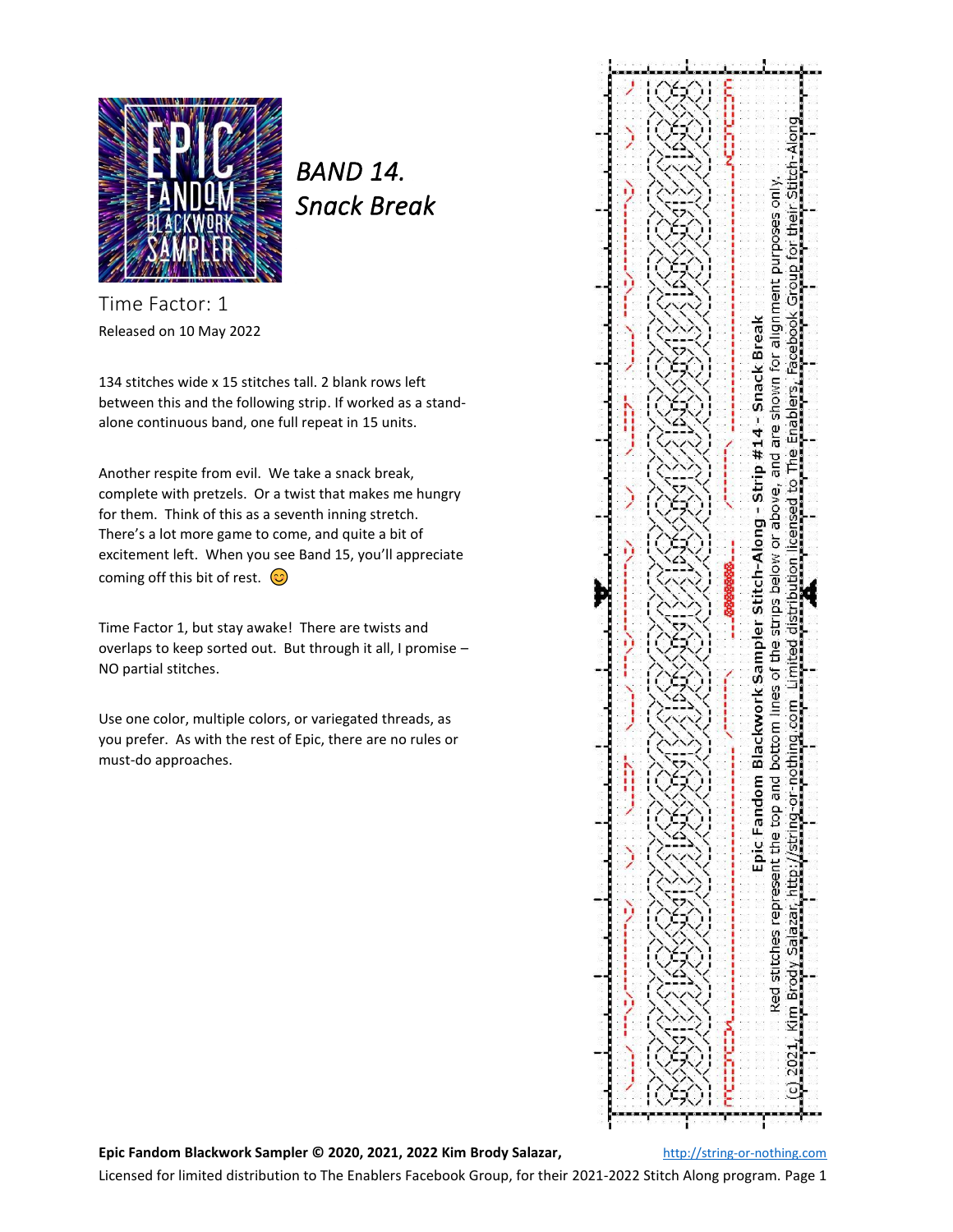

*BAND 14. Snack Break* 

Time Factor: 1 Released on 10 May 2022

134 stitches wide x 15 stitches tall. 2 blank rows left between this and the following strip. If worked as a standalone continuous band, one full repeat in 15 units.

Another respite from evil. We take a snack break, complete with pretzels. Or a twist that makes me hungry for them. Think of this as a seventh inning stretch. There's a lot more game to come, and quite a bit of excitement left. When you see Band 15, you'll appreciate coming off this bit of rest.  $\circled{c}$ 

Time Factor 1, but stay awake! There are twists and overlaps to keep sorted out. But through it all, I promise – NO partial stitches.

Use one color, multiple colors, or variegated threads, as you prefer. As with the rest of Epic, there are no rules or must-do approaches.



## **Epic Fandom Blackwork Sampler © 2020, 2021, 2022 Kim Brody Salazar,** [http://string-or-nothing.com](http://string-or-nothing.com/)

Licensed for limited distribution to The Enablers Facebook Group, for their 2021-2022 Stitch Along program. Page 1